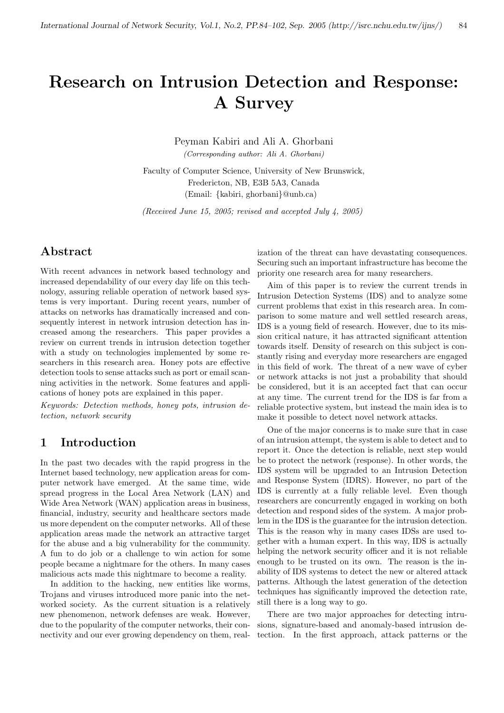# Research on Intrusion Detection and Response: A Survey

Peyman Kabiri and Ali A. Ghorbani (Corresponding author: Ali A. Ghorbani)

Faculty of Computer Science, University of New Brunswick, Fredericton, NB, E3B 5A3, Canada (Email: {kabiri, ghorbani}@unb.ca)

(Received June 15, 2005; revised and accepted July 4, 2005)

## Abstract

With recent advances in network based technology and increased dependability of our every day life on this technology, assuring reliable operation of network based systems is very important. During recent years, number of attacks on networks has dramatically increased and consequently interest in network intrusion detection has increased among the researchers. This paper provides a review on current trends in intrusion detection together with a study on technologies implemented by some researchers in this research area. Honey pots are effective detection tools to sense attacks such as port or email scanning activities in the network. Some features and applications of honey pots are explained in this paper.

Keywords: Detection methods, honey pots, intrusion detection, network security

## 1 Introduction

In the past two decades with the rapid progress in the Internet based technology, new application areas for computer network have emerged. At the same time, wide spread progress in the Local Area Network (LAN) and Wide Area Network (WAN) application areas in business, financial, industry, security and healthcare sectors made us more dependent on the computer networks. All of these application areas made the network an attractive target for the abuse and a big vulnerability for the community. A fun to do job or a challenge to win action for some people became a nightmare for the others. In many cases malicious acts made this nightmare to become a reality.

In addition to the hacking, new entities like worms, Trojans and viruses introduced more panic into the networked society. As the current situation is a relatively new phenomenon, network defenses are weak. However, due to the popularity of the computer networks, their connectivity and our ever growing dependency on them, real-

ization of the threat can have devastating consequences. Securing such an important infrastructure has become the priority one research area for many researchers.

Aim of this paper is to review the current trends in Intrusion Detection Systems (IDS) and to analyze some current problems that exist in this research area. In comparison to some mature and well settled research areas, IDS is a young field of research. However, due to its mission critical nature, it has attracted significant attention towards itself. Density of research on this subject is constantly rising and everyday more researchers are engaged in this field of work. The threat of a new wave of cyber or network attacks is not just a probability that should be considered, but it is an accepted fact that can occur at any time. The current trend for the IDS is far from a reliable protective system, but instead the main idea is to make it possible to detect novel network attacks.

One of the major concerns is to make sure that in case of an intrusion attempt, the system is able to detect and to report it. Once the detection is reliable, next step would be to protect the network (response). In other words, the IDS system will be upgraded to an Intrusion Detection and Response System (IDRS). However, no part of the IDS is currently at a fully reliable level. Even though researchers are concurrently engaged in working on both detection and respond sides of the system. A major problem in the IDS is the guarantee for the intrusion detection. This is the reason why in many cases IDSs are used together with a human expert. In this way, IDS is actually helping the network security officer and it is not reliable enough to be trusted on its own. The reason is the inability of IDS systems to detect the new or altered attack patterns. Although the latest generation of the detection techniques has significantly improved the detection rate, still there is a long way to go.

There are two major approaches for detecting intrusions, signature-based and anomaly-based intrusion detection. In the first approach, attack patterns or the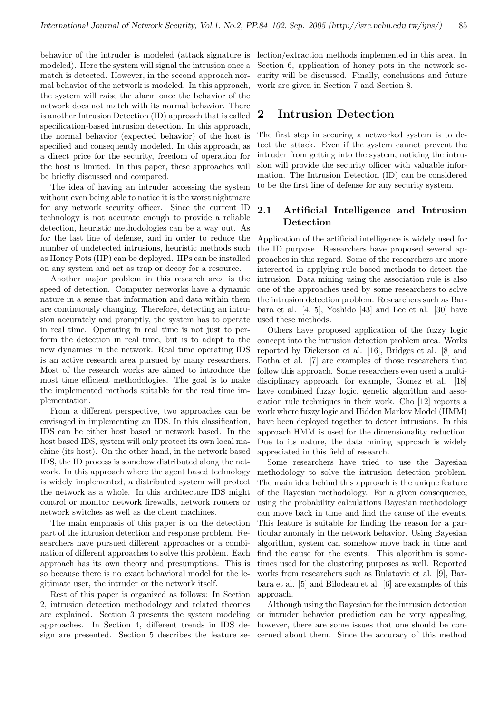behavior of the intruder is modeled (attack signature is modeled). Here the system will signal the intrusion once a match is detected. However, in the second approach normal behavior of the network is modeled. In this approach, the system will raise the alarm once the behavior of the network does not match with its normal behavior. There is another Intrusion Detection (ID) approach that is called specification-based intrusion detection. In this approach, the normal behavior (expected behavior) of the host is specified and consequently modeled. In this approach, as a direct price for the security, freedom of operation for the host is limited. In this paper, these approaches will be briefly discussed and compared.

The idea of having an intruder accessing the system without even being able to notice it is the worst nightmare for any network security officer. Since the current ID technology is not accurate enough to provide a reliable detection, heuristic methodologies can be a way out. As for the last line of defense, and in order to reduce the number of undetected intrusions, heuristic methods such as Honey Pots (HP) can be deployed. HPs can be installed on any system and act as trap or decoy for a resource.

Another major problem in this research area is the speed of detection. Computer networks have a dynamic nature in a sense that information and data within them are continuously changing. Therefore, detecting an intrusion accurately and promptly, the system has to operate in real time. Operating in real time is not just to perform the detection in real time, but is to adapt to the new dynamics in the network. Real time operating IDS is an active research area pursued by many researchers. Most of the research works are aimed to introduce the most time efficient methodologies. The goal is to make the implemented methods suitable for the real time implementation.

From a different perspective, two approaches can be envisaged in implementing an IDS. In this classification, IDS can be either host based or network based. In the host based IDS, system will only protect its own local machine (its host). On the other hand, in the network based IDS, the ID process is somehow distributed along the network. In this approach where the agent based technology is widely implemented, a distributed system will protect the network as a whole. In this architecture IDS might control or monitor network firewalls, network routers or network switches as well as the client machines.

The main emphasis of this paper is on the detection part of the intrusion detection and response problem. Researchers have pursued different approaches or a combination of different approaches to solve this problem. Each approach has its own theory and presumptions. This is so because there is no exact behavioral model for the legitimate user, the intruder or the network itself.

Rest of this paper is organized as follows: In Section 2, intrusion detection methodology and related theories are explained. Section 3 presents the system modeling approaches. In Section 4, different trends in IDS design are presented. Section 5 describes the feature se-

lection/extraction methods implemented in this area. In Section 6, application of honey pots in the network security will be discussed. Finally, conclusions and future work are given in Section 7 and Section 8.

## 2 Intrusion Detection

The first step in securing a networked system is to detect the attack. Even if the system cannot prevent the intruder from getting into the system, noticing the intrusion will provide the security officer with valuable information. The Intrusion Detection (ID) can be considered to be the first line of defense for any security system.

## 2.1 Artificial Intelligence and Intrusion Detection

Application of the artificial intelligence is widely used for the ID purpose. Researchers have proposed several approaches in this regard. Some of the researchers are more interested in applying rule based methods to detect the intrusion. Data mining using the association rule is also one of the approaches used by some researchers to solve the intrusion detection problem. Researchers such as Barbara et al. [4, 5], Yoshido [43] and Lee et al. [30] have used these methods.

Others have proposed application of the fuzzy logic concept into the intrusion detection problem area. Works reported by Dickerson et al. [16], Bridges et al. [8] and Botha et al. [7] are examples of those researchers that follow this approach. Some researchers even used a multidisciplinary approach, for example, Gomez et al. [18] have combined fuzzy logic, genetic algorithm and association rule techniques in their work. Cho [12] reports a work where fuzzy logic and Hidden Markov Model (HMM) have been deployed together to detect intrusions. In this approach HMM is used for the dimensionality reduction. Due to its nature, the data mining approach is widely appreciated in this field of research.

Some researchers have tried to use the Bayesian methodology to solve the intrusion detection problem. The main idea behind this approach is the unique feature of the Bayesian methodology. For a given consequence, using the probability calculations Bayesian methodology can move back in time and find the cause of the events. This feature is suitable for finding the reason for a particular anomaly in the network behavior. Using Bayesian algorithm, system can somehow move back in time and find the cause for the events. This algorithm is sometimes used for the clustering purposes as well. Reported works from researchers such as Bulatovic et al. [9], Barbara et al. [5] and Bilodeau et al. [6] are examples of this approach.

Although using the Bayesian for the intrusion detection or intruder behavior prediction can be very appealing, however, there are some issues that one should be concerned about them. Since the accuracy of this method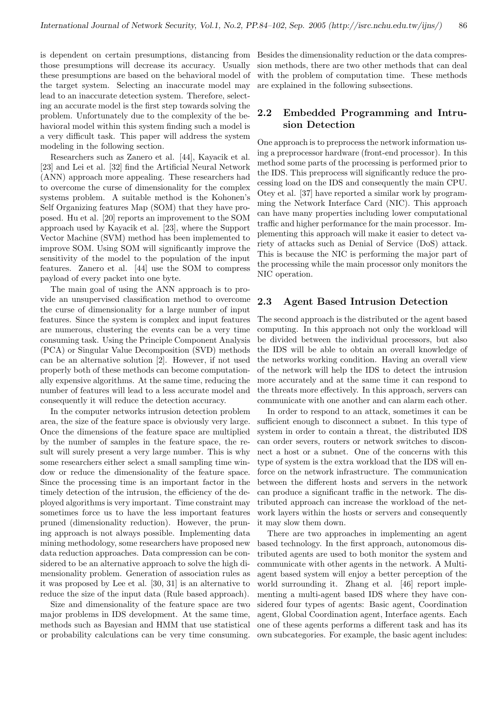those presumptions will decrease its accuracy. Usually these presumptions are based on the behavioral model of the target system. Selecting an inaccurate model may lead to an inaccurate detection system. Therefore, selecting an accurate model is the first step towards solving the problem. Unfortunately due to the complexity of the behavioral model within this system finding such a model is a very difficult task. This paper will address the system modeling in the following section.

Researchers such as Zanero et al. [44], Kayacik et al. [23] and Lei et al. [32] find the Artificial Neural Network (ANN) approach more appealing. These researchers had to overcome the curse of dimensionality for the complex systems problem. A suitable method is the Kohonen's Self Organizing features Map (SOM) that they have proposed. Hu et al. [20] reports an improvement to the SOM approach used by Kayacik et al. [23], where the Support Vector Machine (SVM) method has been implemented to improve SOM. Using SOM will significantly improve the sensitivity of the model to the population of the input features. Zanero et al. [44] use the SOM to compress payload of every packet into one byte.

The main goal of using the ANN approach is to provide an unsupervised classification method to overcome the curse of dimensionality for a large number of input features. Since the system is complex and input features are numerous, clustering the events can be a very time consuming task. Using the Principle Component Analysis (PCA) or Singular Value Decomposition (SVD) methods can be an alternative solution [2]. However, if not used properly both of these methods can become computationally expensive algorithms. At the same time, reducing the number of features will lead to a less accurate model and consequently it will reduce the detection accuracy.

In the computer networks intrusion detection problem area, the size of the feature space is obviously very large. Once the dimensions of the feature space are multiplied by the number of samples in the feature space, the result will surely present a very large number. This is why some researchers either select a small sampling time window or reduce the dimensionality of the feature space. Since the processing time is an important factor in the timely detection of the intrusion, the efficiency of the deployed algorithms is very important. Time constraint may sometimes force us to have the less important features pruned (dimensionality reduction). However, the pruning approach is not always possible. Implementing data mining methodology, some researchers have proposed new data reduction approaches. Data compression can be considered to be an alternative approach to solve the high dimensionality problem. Generation of association rules as it was proposed by Lee et al. [30, 31] is an alternative to reduce the size of the input data (Rule based approach).

Size and dimensionality of the feature space are two major problems in IDS development. At the same time, methods such as Bayesian and HMM that use statistical or probability calculations can be very time consuming.

is dependent on certain presumptions, distancing from Besides the dimensionality reduction or the data compression methods, there are two other methods that can deal with the problem of computation time. These methods are explained in the following subsections.

## 2.2 Embedded Programming and Intrusion Detection

One approach is to preprocess the network information using a preprocessor hardware (front-end processor). In this method some parts of the processing is performed prior to the IDS. This preprocess will significantly reduce the processing load on the IDS and consequently the main CPU. Otey et al. [37] have reported a similar work by programming the Network Interface Card (NIC). This approach can have many properties including lower computational traffic and higher performance for the main processor. Implementing this approach will make it easier to detect variety of attacks such as Denial of Service (DoS) attack. This is because the NIC is performing the major part of the processing while the main processor only monitors the NIC operation.

### 2.3 Agent Based Intrusion Detection

The second approach is the distributed or the agent based computing. In this approach not only the workload will be divided between the individual processors, but also the IDS will be able to obtain an overall knowledge of the networks working condition. Having an overall view of the network will help the IDS to detect the intrusion more accurately and at the same time it can respond to the threats more effectively. In this approach, servers can communicate with one another and can alarm each other.

In order to respond to an attack, sometimes it can be sufficient enough to disconnect a subnet. In this type of system in order to contain a threat, the distributed IDS can order severs, routers or network switches to disconnect a host or a subnet. One of the concerns with this type of system is the extra workload that the IDS will enforce on the network infrastructure. The communication between the different hosts and servers in the network can produce a significant traffic in the network. The distributed approach can increase the workload of the network layers within the hosts or servers and consequently it may slow them down.

There are two approaches in implementing an agent based technology. In the first approach, autonomous distributed agents are used to both monitor the system and communicate with other agents in the network. A Multiagent based system will enjoy a better perception of the world surrounding it. Zhang et al. [46] report implementing a multi-agent based IDS where they have considered four types of agents: Basic agent, Coordination agent, Global Coordination agent, Interface agents. Each one of these agents performs a different task and has its own subcategories. For example, the basic agent includes: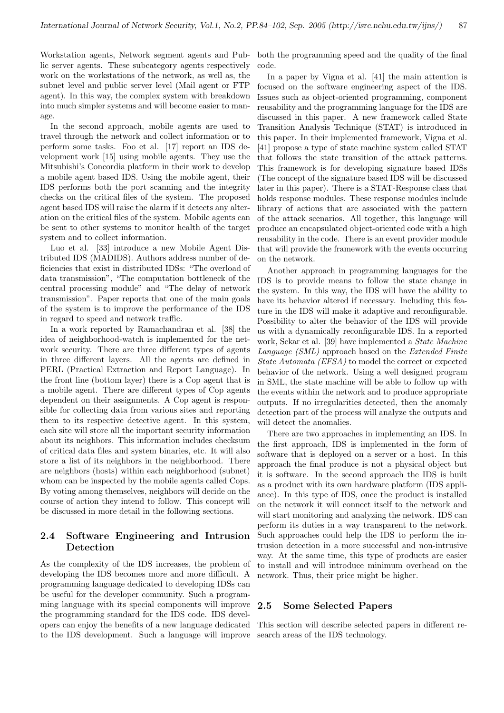lic server agents. These subcategory agents respectively work on the workstations of the network, as well as, the subnet level and public server level (Mail agent or FTP agent). In this way, the complex system with breakdown into much simpler systems and will become easier to manage.

In the second approach, mobile agents are used to travel through the network and collect information or to perform some tasks. Foo et al. [17] report an IDS development work [15] using mobile agents. They use the Mitsubishi's Concordia platform in their work to develop a mobile agent based IDS. Using the mobile agent, their IDS performs both the port scanning and the integrity checks on the critical files of the system. The proposed agent based IDS will raise the alarm if it detects any alteration on the critical files of the system. Mobile agents can be sent to other systems to monitor health of the target system and to collect information.

Luo et al. [33] introduce a new Mobile Agent Distributed IDS (MADIDS). Authors address number of deficiencies that exist in distributed IDSs: "The overload of data transmission", "The computation bottleneck of the central processing module" and "The delay of network transmission". Paper reports that one of the main goals of the system is to improve the performance of the IDS in regard to speed and network traffic.

In a work reported by Ramachandran et al. [38] the idea of neighborhood-watch is implemented for the network security. There are three different types of agents in three different layers. All the agents are defined in PERL (Practical Extraction and Report Language). In the front line (bottom layer) there is a Cop agent that is a mobile agent. There are different types of Cop agents dependent on their assignments. A Cop agent is responsible for collecting data from various sites and reporting them to its respective detective agent. In this system, each site will store all the important security information about its neighbors. This information includes checksum of critical data files and system binaries, etc. It will also store a list of its neighbors in the neighborhood. There are neighbors (hosts) within each neighborhood (subnet) whom can be inspected by the mobile agents called Cops. By voting among themselves, neighbors will decide on the course of action they intend to follow. This concept will be discussed in more detail in the following sections.

## 2.4 Software Engineering and Intrusion Detection

As the complexity of the IDS increases, the problem of developing the IDS becomes more and more difficult. A programming language dedicated to developing IDSs can be useful for the developer community. Such a programming language with its special components will improve the programming standard for the IDS code. IDS developers can enjoy the benefits of a new language dedicated to the IDS development. Such a language will improve search areas of the IDS technology.

Workstation agents, Network segment agents and Pub-both the programming speed and the quality of the final code.

> In a paper by Vigna et al. [41] the main attention is focused on the software engineering aspect of the IDS. Issues such as object-oriented programming, component reusability and the programming language for the IDS are discussed in this paper. A new framework called State Transition Analysis Technique (STAT) is introduced in this paper. In their implemented framework, Vigna et al. [41] propose a type of state machine system called STAT that follows the state transition of the attack patterns. This framework is for developing signature based IDSs (The concept of the signature based IDS will be discussed later in this paper). There is a STAT-Response class that holds response modules. These response modules include library of actions that are associated with the pattern of the attack scenarios. All together, this language will produce an encapsulated object-oriented code with a high reusability in the code. There is an event provider module that will provide the framework with the events occurring on the network.

> Another approach in programming languages for the IDS is to provide means to follow the state change in the system. In this way, the IDS will have the ability to have its behavior altered if necessary. Including this feature in the IDS will make it adaptive and reconfigurable. Possibility to alter the behavior of the IDS will provide us with a dynamically reconfigurable IDS. In a reported work, Sekar et al. [39] have implemented a State Machine Language (SML) approach based on the Extended Finite State Automata (EFSA) to model the correct or expected behavior of the network. Using a well designed program in SML, the state machine will be able to follow up with the events within the network and to produce appropriate outputs. If no irregularities detected, then the anomaly detection part of the process will analyze the outputs and will detect the anomalies.

> There are two approaches in implementing an IDS. In the first approach, IDS is implemented in the form of software that is deployed on a server or a host. In this approach the final produce is not a physical object but it is software. In the second approach the IDS is built as a product with its own hardware platform (IDS appliance). In this type of IDS, once the product is installed on the network it will connect itself to the network and will start monitoring and analyzing the network. IDS can perform its duties in a way transparent to the network. Such approaches could help the IDS to perform the intrusion detection in a more successful and non-intrusive way. At the same time, this type of products are easier to install and will introduce minimum overhead on the network. Thus, their price might be higher.

#### 2.5 Some Selected Papers

This section will describe selected papers in different re-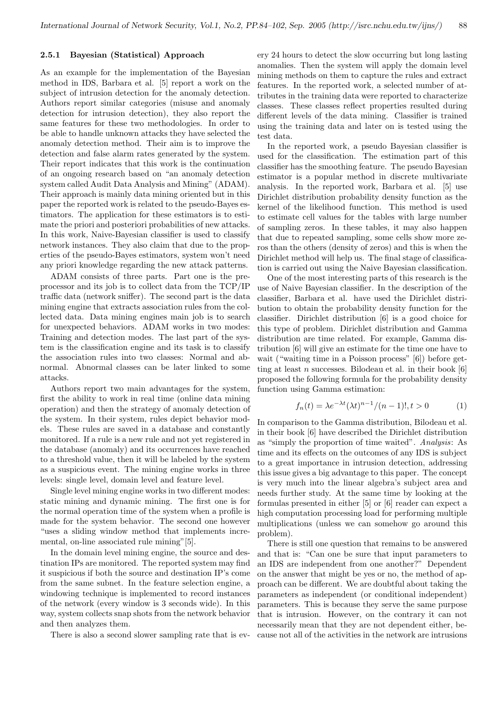#### 2.5.1 Bayesian (Statistical) Approach

As an example for the implementation of the Bayesian method in IDS, Barbara et al. [5] report a work on the subject of intrusion detection for the anomaly detection. Authors report similar categories (misuse and anomaly detection for intrusion detection), they also report the same features for these two methodologies. In order to be able to handle unknown attacks they have selected the anomaly detection method. Their aim is to improve the detection and false alarm rates generated by the system. Their report indicates that this work is the continuation of an ongoing research based on "an anomaly detection system called Audit Data Analysis and Mining" (ADAM). Their approach is mainly data mining oriented but in this paper the reported work is related to the pseudo-Bayes estimators. The application for these estimators is to estimate the priori and posteriori probabilities of new attacks. In this work, Naive-Bayesian classifier is used to classify network instances. They also claim that due to the properties of the pseudo-Bayes estimators, system won't need any priori knowledge regarding the new attack patterns.

ADAM consists of three parts. Part one is the preprocessor and its job is to collect data from the TCP/IP traffic data (network sniffer). The second part is the data mining engine that extracts association rules from the collected data. Data mining engines main job is to search for unexpected behaviors. ADAM works in two modes: Training and detection modes. The last part of the system is the classification engine and its task is to classify the association rules into two classes: Normal and abnormal. Abnormal classes can be later linked to some attacks.

Authors report two main advantages for the system, first the ability to work in real time (online data mining operation) and then the strategy of anomaly detection of the system. In their system, rules depict behavior models. These rules are saved in a database and constantly monitored. If a rule is a new rule and not yet registered in the database (anomaly) and its occurrences have reached to a threshold value, then it will be labeled by the system as a suspicious event. The mining engine works in three levels: single level, domain level and feature level.

Single level mining engine works in two different modes: static mining and dynamic mining. The first one is for the normal operation time of the system when a profile is made for the system behavior. The second one however "uses a sliding window method that implements incremental, on-line associated rule mining"[5].

In the domain level mining engine, the source and destination IPs are monitored. The reported system may find it suspicious if both the source and destination IP's come from the same subnet. In the feature selection engine, a windowing technique is implemented to record instances of the network (every window is 3 seconds wide). In this way, system collects snap shots from the network behavior and then analyzes them.

There is also a second slower sampling rate that is ev-

ery 24 hours to detect the slow occurring but long lasting anomalies. Then the system will apply the domain level mining methods on them to capture the rules and extract features. In the reported work, a selected number of attributes in the training data were reported to characterize classes. These classes reflect properties resulted during different levels of the data mining. Classifier is trained using the training data and later on is tested using the test data.

In the reported work, a pseudo Bayesian classifier is used for the classification. The estimation part of this classifier has the smoothing feature. The pseudo Bayesian estimator is a popular method in discrete multivariate analysis. In the reported work, Barbara et al. [5] use Dirichlet distribution probability density function as the kernel of the likelihood function. This method is used to estimate cell values for the tables with large number of sampling zeros. In these tables, it may also happen that due to repeated sampling, some cells show more zeros than the others (density of zeros) and this is when the Dirichlet method will help us. The final stage of classification is carried out using the Naive Bayesian classification.

One of the most interesting parts of this research is the use of Naive Bayesian classifier. In the description of the classifier, Barbara et al. have used the Dirichlet distribution to obtain the probability density function for the classifier. Dirichlet distribution [6] is a good choice for this type of problem. Dirichlet distribution and Gamma distribution are time related. For example, Gamma distribution [6] will give an estimate for the time one have to wait ("waiting time in a Poisson process" [6]) before getting at least n successes. Bilodeau et al. in their book  $[6]$ proposed the following formula for the probability density function using Gamma estimation:

$$
f_n(t) = \lambda e^{-\lambda t} (\lambda t)^{n-1} / (n-1)!, t > 0
$$
 (1)

In comparison to the Gamma distribution, Bilodeau et al. in their book [6] have described the Dirichlet distribution as "simply the proportion of time waited". Analysis: As time and its effects on the outcomes of any IDS is subject to a great importance in intrusion detection, addressing this issue gives a big advantage to this paper. The concept is very much into the linear algebra's subject area and needs further study. At the same time by looking at the formulas presented in either [5] or [6] reader can expect a high computation processing load for performing multiple multiplications (unless we can somehow go around this problem).

There is still one question that remains to be answered and that is: "Can one be sure that input parameters to an IDS are independent from one another?" Dependent on the answer that might be yes or no, the method of approach can be different. We are doubtful about taking the parameters as independent (or conditional independent) parameters. This is because they serve the same purpose that is intrusion. However, on the contrary it can not necessarily mean that they are not dependent either, because not all of the activities in the network are intrusions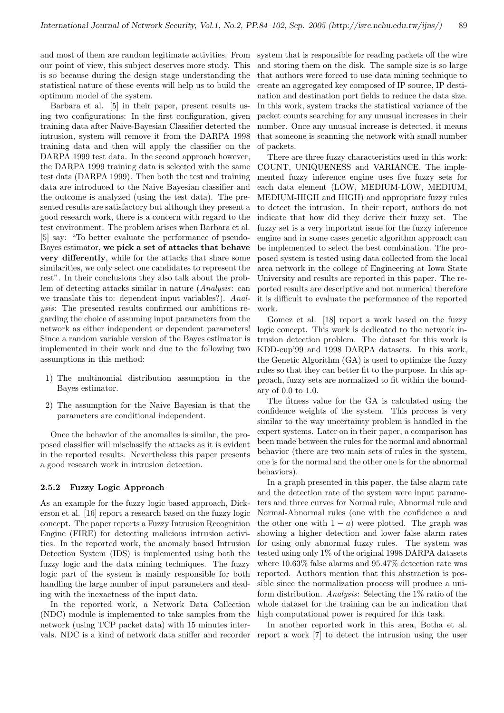and most of them are random legitimate activities. From system that is responsible for reading packets off the wire our point of view, this subject deserves more study. This is so because during the design stage understanding the statistical nature of these events will help us to build the optimum model of the system.

Barbara et al. [5] in their paper, present results using two configurations: In the first configuration, given training data after Naive-Bayesian Classifier detected the intrusion, system will remove it from the DARPA 1998 training data and then will apply the classifier on the DARPA 1999 test data. In the second approach however, the DARPA 1999 training data is selected with the same test data (DARPA 1999). Then both the test and training data are introduced to the Naive Bayesian classifier and the outcome is analyzed (using the test data). The presented results are satisfactory but although they present a good research work, there is a concern with regard to the test environment. The problem arises when Barbara et al. [5] say: "To better evaluate the performance of pseudo-Bayes estimator, we pick a set of attacks that behave very differently, while for the attacks that share some similarities, we only select one candidates to represent the rest". In their conclusions they also talk about the problem of detecting attacks similar in nature (Analysis: can we translate this to: dependent input variables?). Analysis: The presented results confirmed our ambitions regarding the choice of assuming input parameters from the network as either independent or dependent parameters! Since a random variable version of the Bayes estimator is implemented in their work and due to the following two assumptions in this method:

- 1) The multinomial distribution assumption in the Bayes estimator.
- 2) The assumption for the Naive Bayesian is that the parameters are conditional independent.

Once the behavior of the anomalies is similar, the proposed classifier will misclassify the attacks as it is evident in the reported results. Nevertheless this paper presents a good research work in intrusion detection.

#### 2.5.2 Fuzzy Logic Approach

As an example for the fuzzy logic based approach, Dickerson et al. [16] report a research based on the fuzzy logic concept. The paper reports a Fuzzy Intrusion Recognition Engine (FIRE) for detecting malicious intrusion activities. In the reported work, the anomaly based Intrusion Detection System (IDS) is implemented using both the fuzzy logic and the data mining techniques. The fuzzy logic part of the system is mainly responsible for both handling the large number of input parameters and dealing with the inexactness of the input data.

In the reported work, a Network Data Collection (NDC) module is implemented to take samples from the network (using TCP packet data) with 15 minutes interand storing them on the disk. The sample size is so large that authors were forced to use data mining technique to create an aggregated key composed of IP source, IP destination and destination port fields to reduce the data size. In this work, system tracks the statistical variance of the packet counts searching for any unusual increases in their number. Once any unusual increase is detected, it means that someone is scanning the network with small number of packets.

There are three fuzzy characteristics used in this work: COUNT, UNIQUENESS and VARIANCE. The implemented fuzzy inference engine uses five fuzzy sets for each data element (LOW, MEDIUM-LOW, MEDIUM, MEDIUM-HIGH and HIGH) and appropriate fuzzy rules to detect the intrusion. In their report, authors do not indicate that how did they derive their fuzzy set. The fuzzy set is a very important issue for the fuzzy inference engine and in some cases genetic algorithm approach can be implemented to select the best combination. The proposed system is tested using data collected from the local area network in the college of Engineering at Iowa State University and results are reported in this paper. The reported results are descriptive and not numerical therefore it is difficult to evaluate the performance of the reported work.

Gomez et al. [18] report a work based on the fuzzy logic concept. This work is dedicated to the network intrusion detection problem. The dataset for this work is KDD-cup'99 and 1998 DARPA datasets. In this work, the Genetic Algorithm (GA) is used to optimize the fuzzy rules so that they can better fit to the purpose. In this approach, fuzzy sets are normalized to fit within the boundary of 0.0 to 1.0.

The fitness value for the GA is calculated using the confidence weights of the system. This process is very similar to the way uncertainty problem is handled in the expert systems. Later on in their paper, a comparison has been made between the rules for the normal and abnormal behavior (there are two main sets of rules in the system, one is for the normal and the other one is for the abnormal behaviors).

In a graph presented in this paper, the false alarm rate and the detection rate of the system were input parameters and three curves for Normal rule, Abnormal rule and Normal-Abnormal rules (one with the confidence a and the other one with  $1 - a$ ) were plotted. The graph was showing a higher detection and lower false alarm rates for using only abnormal fuzzy rules. The system was tested using only 1% of the original 1998 DARPA datasets where 10.63% false alarms and 95.47% detection rate was reported. Authors mention that this abstraction is possible since the normalization process will produce a uniform distribution. Analysis: Selecting the 1% ratio of the whole dataset for the training can be an indication that high computational power is required for this task.

vals. NDC is a kind of network data sniffer and recorder report a work [7] to detect the intrusion using the user In another reported work in this area, Botha et al.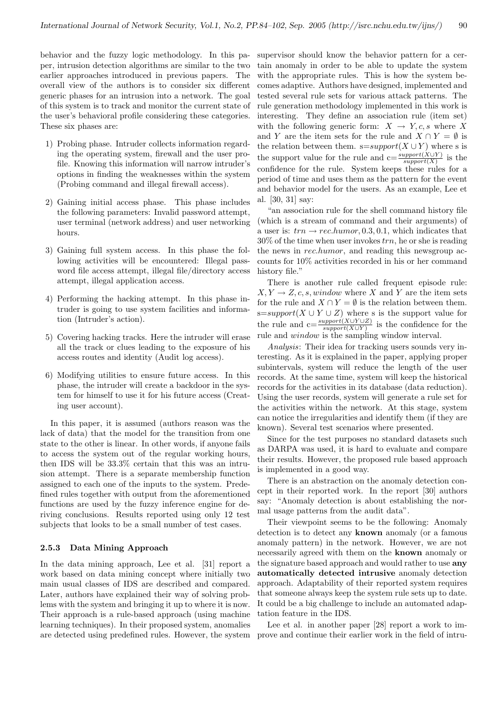behavior and the fuzzy logic methodology. In this paper, intrusion detection algorithms are similar to the two earlier approaches introduced in previous papers. The overall view of the authors is to consider six different generic phases for an intrusion into a network. The goal of this system is to track and monitor the current state of the user's behavioral profile considering these categories. These six phases are:

- 1) Probing phase. Intruder collects information regarding the operating system, firewall and the user profile. Knowing this information will narrow intruder's options in finding the weaknesses within the system (Probing command and illegal firewall access).
- 2) Gaining initial access phase. This phase includes the following parameters: Invalid password attempt, user terminal (network address) and user networking hours.
- 3) Gaining full system access. In this phase the following activities will be encountered: Illegal password file access attempt, illegal file/directory access attempt, illegal application access.
- 4) Performing the hacking attempt. In this phase intruder is going to use system facilities and information (Intruder's action).
- 5) Covering hacking tracks. Here the intruder will erase all the track or clues leading to the exposure of his access routes and identity (Audit log access).
- 6) Modifying utilities to ensure future access. In this phase, the intruder will create a backdoor in the system for himself to use it for his future access (Creating user account).

In this paper, it is assumed (authors reason was the lack of data) that the model for the transition from one state to the other is linear. In other words, if anyone fails to access the system out of the regular working hours, then IDS will be 33.3% certain that this was an intrusion attempt. There is a separate membership function assigned to each one of the inputs to the system. Predefined rules together with output from the aforementioned functions are used by the fuzzy inference engine for deriving conclusions. Results reported using only 12 test subjects that looks to be a small number of test cases.

#### 2.5.3 Data Mining Approach

In the data mining approach, Lee et al. [31] report a work based on data mining concept where initially two main usual classes of IDS are described and compared. Later, authors have explained their way of solving problems with the system and bringing it up to where it is now. Their approach is a rule-based approach (using machine learning techniques). In their proposed system, anomalies are detected using predefined rules. However, the system

supervisor should know the behavior pattern for a certain anomaly in order to be able to update the system with the appropriate rules. This is how the system becomes adaptive. Authors have designed, implemented and tested several rule sets for various attack patterns. The rule generation methodology implemented in this work is interesting. They define an association rule (item set) with the following generic form:  $X \rightarrow Y, c, s$  where X and Y are the item sets for the rule and  $X \cap Y = \emptyset$  is the relation between them.  $s=support(X \cup Y)$  where s is the support value for the rule and  $c = \frac{support(X \cup Y)}{support(X)}$  is the confidence for the rule. System keeps these rules for a period of time and uses them as the pattern for the event and behavior model for the users. As an example, Lee et al. [30, 31] say:

"an association rule for the shell command history file (which is a stream of command and their arguments) of a user is:  $trn \rightarrow rec.humor, 0.3, 0.1$ , which indicates that  $30\%$  of the time when user invokes  $trn$ , he or she is reading the news in rec.humor, and reading this newsgroup accounts for 10% activities recorded in his or her command history file."

There is another rule called frequent episode rule:  $X, Y \to Z, c, s, window$  where X and Y are the item sets for the rule and  $X \cap Y = \emptyset$  is the relation between them. s=support(X ∪ Y ∪ Z) where s is the support value for the rule and  $c=\frac{support(X\cup Y\cup Z)}{support(X\cup Y)}$  is the confidence for the rule and window is the sampling window interval.

Analysis: Their idea for tracking users sounds very interesting. As it is explained in the paper, applying proper subintervals, system will reduce the length of the user records. At the same time, system will keep the historical records for the activities in its database (data reduction). Using the user records, system will generate a rule set for the activities within the network. At this stage, system can notice the irregularities and identify them (if they are known). Several test scenarios where presented.

Since for the test purposes no standard datasets such as DARPA was used, it is hard to evaluate and compare their results. However, the proposed rule based approach is implemented in a good way.

There is an abstraction on the anomaly detection concept in their reported work. In the report [30] authors say: "Anomaly detection is about establishing the normal usage patterns from the audit data".

Their viewpoint seems to be the following: Anomaly detection is to detect any known anomaly (or a famous anomaly pattern) in the network. However, we are not necessarily agreed with them on the known anomaly or the signature based approach and would rather to use any automatically detected intrusive anomaly detection approach. Adaptability of their reported system requires that someone always keep the system rule sets up to date. It could be a big challenge to include an automated adaptation feature in the IDS.

Lee et al. in another paper [28] report a work to improve and continue their earlier work in the field of intru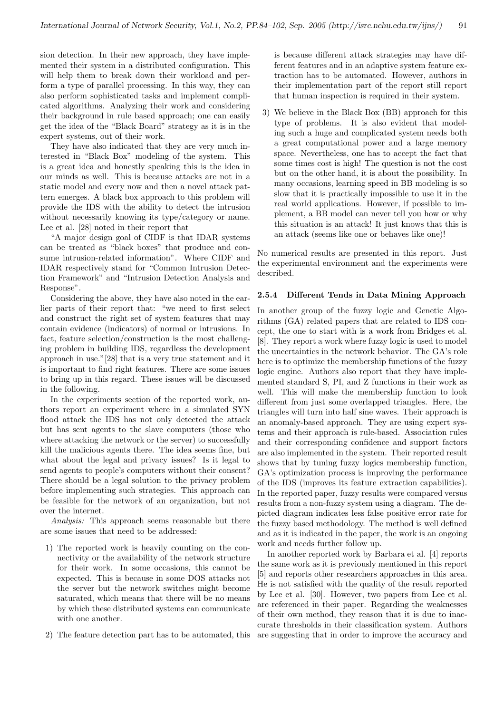sion detection. In their new approach, they have implemented their system in a distributed configuration. This will help them to break down their workload and perform a type of parallel processing. In this way, they can also perform sophisticated tasks and implement complicated algorithms. Analyzing their work and considering their background in rule based approach; one can easily get the idea of the "Black Board" strategy as it is in the expert systems, out of their work.

They have also indicated that they are very much interested in "Black Box" modeling of the system. This is a great idea and honestly speaking this is the idea in our minds as well. This is because attacks are not in a static model and every now and then a novel attack pattern emerges. A black box approach to this problem will provide the IDS with the ability to detect the intrusion without necessarily knowing its type/category or name. Lee et al. [28] noted in their report that

"A major design goal of CIDF is that IDAR systems can be treated as "black boxes" that produce and consume intrusion-related information". Where CIDF and IDAR respectively stand for "Common Intrusion Detection Framework" and "Intrusion Detection Analysis and Response".

Considering the above, they have also noted in the earlier parts of their report that: "we need to first select and construct the right set of system features that may contain evidence (indicators) of normal or intrusions. In fact, feature selection/construction is the most challenging problem in building IDS, regardless the development approach in use."[28] that is a very true statement and it is important to find right features. There are some issues to bring up in this regard. These issues will be discussed in the following.

In the experiments section of the reported work, authors report an experiment where in a simulated SYN flood attack the IDS has not only detected the attack but has sent agents to the slave computers (those who where attacking the network or the server) to successfully kill the malicious agents there. The idea seems fine, but what about the legal and privacy issues? Is it legal to send agents to people's computers without their consent? There should be a legal solution to the privacy problem before implementing such strategies. This approach can be feasible for the network of an organization, but not over the internet.

Analysis: This approach seems reasonable but there are some issues that need to be addressed:

- 1) The reported work is heavily counting on the connectivity or the availability of the network structure for their work. In some occasions, this cannot be expected. This is because in some DOS attacks not the server but the network switches might become saturated, which means that there will be no means by which these distributed systems can communicate with one another.
- 2) The feature detection part has to be automated, this

is because different attack strategies may have different features and in an adaptive system feature extraction has to be automated. However, authors in their implementation part of the report still report that human inspection is required in their system.

3) We believe in the Black Box (BB) approach for this type of problems. It is also evident that modeling such a huge and complicated system needs both a great computational power and a large memory space. Nevertheless, one has to accept the fact that some times cost is high! The question is not the cost but on the other hand, it is about the possibility. In many occasions, learning speed in BB modeling is so slow that it is practically impossible to use it in the real world applications. However, if possible to implement, a BB model can never tell you how or why this situation is an attack! It just knows that this is an attack (seems like one or behaves like one)!

No numerical results are presented in this report. Just the experimental environment and the experiments were described.

#### 2.5.4 Different Tends in Data Mining Approach

In another group of the fuzzy logic and Genetic Algorithms (GA) related papers that are related to IDS concept, the one to start with is a work from Bridges et al. [8]. They report a work where fuzzy logic is used to model the uncertainties in the network behavior. The GA's role here is to optimize the membership functions of the fuzzy logic engine. Authors also report that they have implemented standard S, PI, and Z functions in their work as well. This will make the membership function to look different from just some overlapped triangles. Here, the triangles will turn into half sine waves. Their approach is an anomaly-based approach. They are using expert systems and their approach is rule-based. Association rules and their corresponding confidence and support factors are also implemented in the system. Their reported result shows that by tuning fuzzy logics membership function, GA's optimization process is improving the performance of the IDS (improves its feature extraction capabilities). In the reported paper, fuzzy results were compared versus results from a non-fuzzy system using a diagram. The depicted diagram indicates less false positive error rate for the fuzzy based methodology. The method is well defined and as it is indicated in the paper, the work is an ongoing work and needs further follow up.

In another reported work by Barbara et al. [4] reports the same work as it is previously mentioned in this report [5] and reports other researchers approaches in this area. He is not satisfied with the quality of the result reported by Lee et al. [30]. However, two papers from Lee et al. are referenced in their paper. Regarding the weaknesses of their own method, they reason that it is due to inaccurate thresholds in their classification system. Authors are suggesting that in order to improve the accuracy and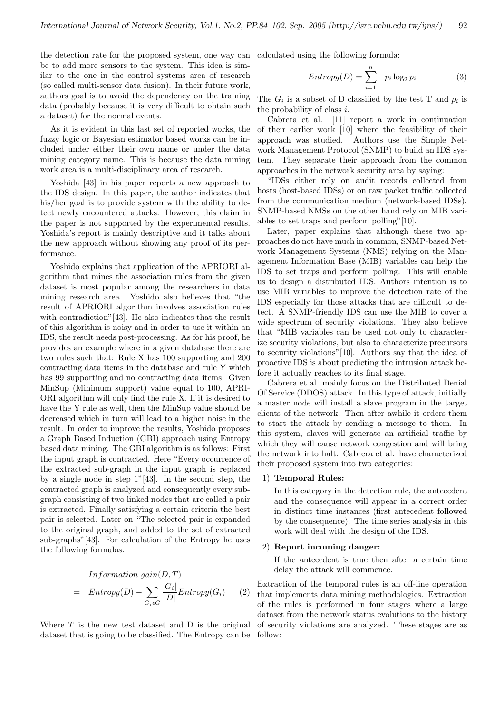the detection rate for the proposed system, one way can calculated using the following formula: be to add more sensors to the system. This idea is similar to the one in the control systems area of research (so called multi-sensor data fusion). In their future work, authors goal is to avoid the dependency on the training data (probably because it is very difficult to obtain such a dataset) for the normal events.

As it is evident in this last set of reported works, the fuzzy logic or Bayesian estimator based works can be included under either their own name or under the data mining category name. This is because the data mining work area is a multi-disciplinary area of research.

Yoshida [43] in his paper reports a new approach to the IDS design. In this paper, the author indicates that his/her goal is to provide system with the ability to detect newly encountered attacks. However, this claim in the paper is not supported by the experimental results. Yoshida's report is mainly descriptive and it talks about the new approach without showing any proof of its performance.

Yoshido explains that application of the APRIORI algorithm that mines the association rules from the given dataset is most popular among the researchers in data mining research area. Yoshido also believes that "the result of APRIORI algorithm involves association rules with contradiction"[43]. He also indicates that the result of this algorithm is noisy and in order to use it within an IDS, the result needs post-processing. As for his proof, he provides an example where in a given database there are two rules such that: Rule X has 100 supporting and 200 contracting data items in the database and rule Y which has 99 supporting and no contracting data items. Given MinSup (Minimum support) value equal to 100, APRI-ORI algorithm will only find the rule X. If it is desired to have the Y rule as well, then the MinSup value should be decreased which in turn will lead to a higher noise in the result. In order to improve the results, Yoshido proposes a Graph Based Induction (GBI) approach using Entropy based data mining. The GBI algorithm is as follows: First the input graph is contracted. Here "Every occurrence of the extracted sub-graph in the input graph is replaced by a single node in step  $1^{\prime\prime}$ [43]. In the second step, the contracted graph is analyzed and consequently every subgraph consisting of two linked nodes that are called a pair is extracted. Finally satisfying a certain criteria the best pair is selected. Later on "The selected pair is expanded to the original graph, and added to the set of extracted sub-graphs"[43]. For calculation of the Entropy he uses the following formulas.

$$
Information gain(D, T)
$$
  
= Entropy(D) -  $\sum_{G_i \in G} \frac{|G_i|}{|D|} Entropy(G_i)$  (2)

Where  $T$  is the new test dataset and  $D$  is the original of security violations are analyzed. These stages are as dataset that is going to be classified. The Entropy can be follow:

$$
Entropy(D) = \sum_{i=1}^{n} -p_i \log_2 p_i \tag{3}
$$

The  $G_i$  is a subset of D classified by the test T and  $p_i$  is the probability of class i.

Cabrera et al. [11] report a work in continuation of their earlier work [10] where the feasibility of their approach was studied. Authors use the Simple Network Management Protocol (SNMP) to build an IDS system. They separate their approach from the common approaches in the network security area by saying:

"IDSs either rely on audit records collected from hosts (host-based IDSs) or on raw packet traffic collected from the communication medium (network-based IDSs). SNMP-based NMSs on the other hand rely on MIB variables to set traps and perform polling"[10].

Later, paper explains that although these two approaches do not have much in common, SNMP-based Network Management Systems (NMS) relying on the Management Information Base (MIB) variables can help the IDS to set traps and perform polling. This will enable us to design a distributed IDS. Authors intention is to use MIB variables to improve the detection rate of the IDS especially for those attacks that are difficult to detect. A SNMP-friendly IDS can use the MIB to cover a wide spectrum of security violations. They also believe that "MIB variables can be used not only to characterize security violations, but also to characterize precursors to security violations"[10]. Authors say that the idea of proactive IDS is about predicting the intrusion attack before it actually reaches to its final stage.

Cabrera et al. mainly focus on the Distributed Denial Of Service (DDOS) attack. In this type of attack, initially a master node will install a slave program in the target clients of the network. Then after awhile it orders them to start the attack by sending a message to them. In this system, slaves will generate an artificial traffic by which they will cause network congestion and will bring the network into halt. Cabrera et al. have characterized their proposed system into two categories:

#### 1) Temporal Rules:

In this category in the detection rule, the antecedent and the consequence will appear in a correct order in distinct time instances (first antecedent followed by the consequence). The time series analysis in this work will deal with the design of the IDS.

#### 2) Report incoming danger:

If the antecedent is true then after a certain time delay the attack will commence.

Extraction of the temporal rules is an off-line operation that implements data mining methodologies. Extraction of the rules is performed in four stages where a large dataset from the network status evolutions to the history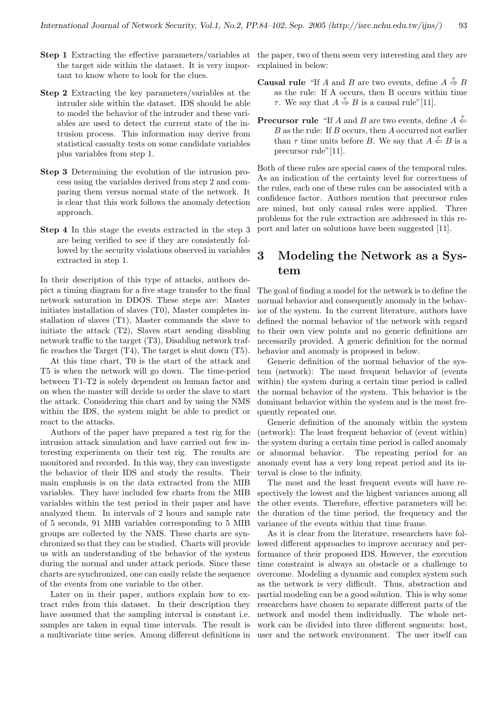- Step 1 Extracting the effective parameters/variables at the paper, two of them seem very interesting and they are the target side within the dataset. It is very important to know where to look for the clues.
- Step 2 Extracting the key parameters/variables at the intruder side within the dataset. IDS should be able to model the behavior of the intruder and these variables are used to detect the current state of the intrusion process. This information may derive from statistical casualty tests on some candidate variables plus variables from step 1.
- Step 3 Determining the evolution of the intrusion process using the variables derived from step 2 and comparing them versus normal state of the network. It is clear that this work follows the anomaly detection approach.
- Step 4 In this stage the events extracted in the step 3 are being verified to see if they are consistently followed by the security violations observed in variables extracted in step 1.

In their description of this type of attacks, authors depict a timing diagram for a five stage transfer to the final network saturation in DDOS. These steps are: Master initiates installation of slaves (T0), Master completes installation of slaves (T1), Master commands the slave to initiate the attack (T2), Slaves start sending disabling network traffic to the target (T3), Disabling network traffic reaches the Target (T4), The target is shut down (T5).

At this time chart, T0 is the start of the attack and T5 is when the network will go down. The time-period between T1-T2 is solely dependent on human factor and on when the master will decide to order the slave to start the attack. Considering this chart and by using the NMS within the IDS, the system might be able to predict or react to the attacks.

Authors of the paper have prepared a test rig for the intrusion attack simulation and have carried out few interesting experiments on their test rig. The results are monitored and recorded. In this way, they can investigate the behavior of their IDS and study the results. Their main emphasis is on the data extracted from the MIB variables. They have included few charts from the MIB variables within the test period in their paper and have analyzed them. In intervals of 2 hours and sample rate of 5 seconds, 91 MIB variables corresponding to 5 MIB groups are collected by the NMS. These charts are synchronized so that they can be studied. Charts will provide us with an understanding of the behavior of the system during the normal and under attack periods. Since these charts are synchronized, one can easily relate the sequence of the events from one variable to the other.

Later on in their paper, authors explain how to extract rules from this dataset. In their description they have assumed that the sampling interval is constant i.e. samples are taken in equal time intervals. The result is a multivariate time series. Among different definitions in user and the network environment. The user itself can

explained in below:

- **Causal rule** "If A and B are two events, define  $A \stackrel{\tau}{\Rightarrow} B$ as the rule: If A occurs, then B occurs within time  $\tau$ . We say that  $A \stackrel{\tau}{\Rightarrow} B$  is a causal rule" [11].
- **Precursor rule** "If A and B are two events, define  $A \stackrel{\mathcal{I}}{\leftarrow}$ B as the rule: If B occurs, then A occurred not earlier than  $\tau$  time units before B. We say that  $A \stackrel{\tau}{\leftarrow} B$  is a precursor rule"[11].

Both of these rules are special cases of the temporal rules. As an indication of the certainty level for correctness of the rules, each one of these rules can be associated with a confidence factor. Authors mention that precursor rules are mined, but only causal rules were applied. Three problems for the rule extraction are addressed in this report and later on solutions have been suggested [11].

## 3 Modeling the Network as a System

The goal of finding a model for the network is to define the normal behavior and consequently anomaly in the behavior of the system. In the current literature, authors have defined the normal behavior of the network with regard to their own view points and no generic definitions are necessarily provided. A generic definition for the normal behavior and anomaly is proposed in below.

Generic definition of the normal behavior of the system (network): The most frequent behavior of (events within) the system during a certain time period is called the normal behavior of the system. This behavior is the dominant behavior within the system and is the most frequently repeated one.

Generic definition of the anomaly within the system (network): The least frequent behavior of (event within) the system during a certain time period is called anomaly or abnormal behavior. The repeating period for an anomaly event has a very long repeat period and its interval is close to the infinity.

The most and the least frequent events will have respectively the lowest and the highest variances among all the other events. Therefore, effective parameters will be: the duration of the time period, the frequency and the variance of the events within that time frame.

As it is clear from the literature, researchers have followed different approaches to improve accuracy and performance of their proposed IDS. However, the execution time constraint is always an obstacle or a challenge to overcome. Modeling a dynamic and complex system such as the network is very difficult. Thus, abstraction and partial modeling can be a good solution. This is why some researchers have chosen to separate different parts of the network and model them individually. The whole network can be divided into three different segments: host,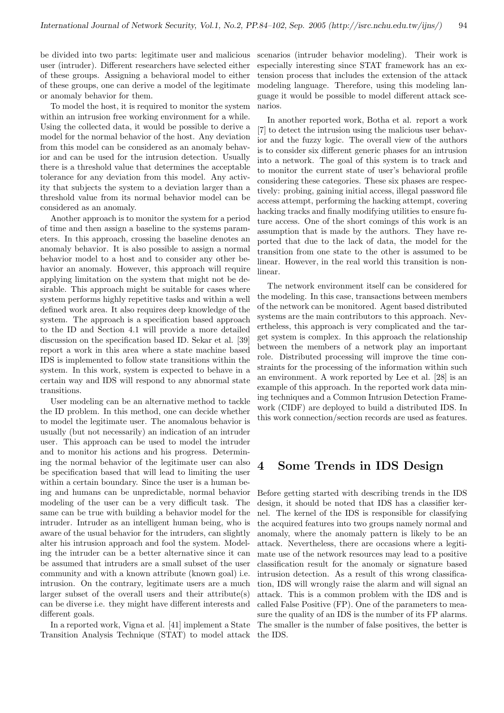user (intruder). Different researchers have selected either of these groups. Assigning a behavioral model to either of these groups, one can derive a model of the legitimate or anomaly behavior for them.

To model the host, it is required to monitor the system within an intrusion free working environment for a while. Using the collected data, it would be possible to derive a model for the normal behavior of the host. Any deviation from this model can be considered as an anomaly behavior and can be used for the intrusion detection. Usually there is a threshold value that determines the acceptable tolerance for any deviation from this model. Any activity that subjects the system to a deviation larger than a threshold value from its normal behavior model can be considered as an anomaly.

Another approach is to monitor the system for a period of time and then assign a baseline to the systems parameters. In this approach, crossing the baseline denotes an anomaly behavior. It is also possible to assign a normal behavior model to a host and to consider any other behavior an anomaly. However, this approach will require applying limitation on the system that might not be desirable. This approach might be suitable for cases where system performs highly repetitive tasks and within a well defined work area. It also requires deep knowledge of the system. The approach is a specification based approach to the ID and Section 4.1 will provide a more detailed discussion on the specification based ID. Sekar et al. [39] report a work in this area where a state machine based IDS is implemented to follow state transitions within the system. In this work, system is expected to behave in a certain way and IDS will respond to any abnormal state transitions.

User modeling can be an alternative method to tackle the ID problem. In this method, one can decide whether to model the legitimate user. The anomalous behavior is usually (but not necessarily) an indication of an intruder user. This approach can be used to model the intruder and to monitor his actions and his progress. Determining the normal behavior of the legitimate user can also be specification based that will lead to limiting the user within a certain boundary. Since the user is a human being and humans can be unpredictable, normal behavior modeling of the user can be a very difficult task. The same can be true with building a behavior model for the intruder. Intruder as an intelligent human being, who is aware of the usual behavior for the intruders, can slightly alter his intrusion approach and fool the system. Modeling the intruder can be a better alternative since it can be assumed that intruders are a small subset of the user community and with a known attribute (known goal) i.e. intrusion. On the contrary, legitimate users are a much larger subset of the overall users and their attribute(s) can be diverse i.e. they might have different interests and different goals.

In a reported work, Vigna et al. [41] implement a State Transition Analysis Technique (STAT) to model attack

be divided into two parts: legitimate user and malicious scenarios (intruder behavior modeling). Their work is especially interesting since STAT framework has an extension process that includes the extension of the attack modeling language. Therefore, using this modeling language it would be possible to model different attack scenarios.

> In another reported work, Botha et al. report a work [7] to detect the intrusion using the malicious user behavior and the fuzzy logic. The overall view of the authors is to consider six different generic phases for an intrusion into a network. The goal of this system is to track and to monitor the current state of user's behavioral profile considering these categories. These six phases are respectively: probing, gaining initial access, illegal password file access attempt, performing the hacking attempt, covering hacking tracks and finally modifying utilities to ensure future access. One of the short comings of this work is an assumption that is made by the authors. They have reported that due to the lack of data, the model for the transition from one state to the other is assumed to be linear. However, in the real world this transition is nonlinear.

> The network environment itself can be considered for the modeling. In this case, transactions between members of the network can be monitored. Agent based distributed systems are the main contributors to this approach. Nevertheless, this approach is very complicated and the target system is complex. In this approach the relationship between the members of a network play an important role. Distributed processing will improve the time constraints for the processing of the information within such an environment. A work reported by Lee et al. [28] is an example of this approach. In the reported work data mining techniques and a Common Intrusion Detection Framework (CIDF) are deployed to build a distributed IDS. In this work connection/section records are used as features.

## 4 Some Trends in IDS Design

Before getting started with describing trends in the IDS design, it should be noted that IDS has a classifier kernel. The kernel of the IDS is responsible for classifying the acquired features into two groups namely normal and anomaly, where the anomaly pattern is likely to be an attack. Nevertheless, there are occasions where a legitimate use of the network resources may lead to a positive classification result for the anomaly or signature based intrusion detection. As a result of this wrong classification, IDS will wrongly raise the alarm and will signal an attack. This is a common problem with the IDS and is called False Positive (FP). One of the parameters to measure the quality of an IDS is the number of its FP alarms. The smaller is the number of false positives, the better is the IDS.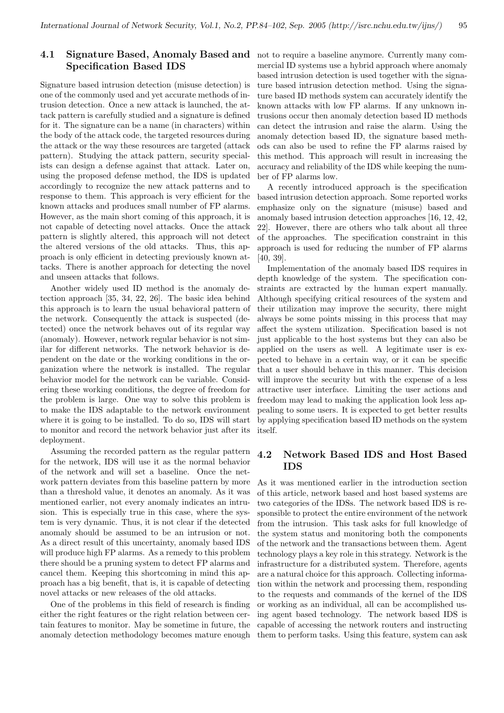## 4.1 Signature Based, Anomaly Based and not to require a baseline anymore. Currently many com-Specification Based IDS

Signature based intrusion detection (misuse detection) is one of the commonly used and yet accurate methods of intrusion detection. Once a new attack is launched, the attack pattern is carefully studied and a signature is defined for it. The signature can be a name (in characters) within the body of the attack code, the targeted resources during the attack or the way these resources are targeted (attack pattern). Studying the attack pattern, security specialists can design a defense against that attack. Later on, using the proposed defense method, the IDS is updated accordingly to recognize the new attack patterns and to response to them. This approach is very efficient for the known attacks and produces small number of FP alarms. However, as the main short coming of this approach, it is not capable of detecting novel attacks. Once the attack pattern is slightly altered, this approach will not detect the altered versions of the old attacks. Thus, this approach is only efficient in detecting previously known attacks. There is another approach for detecting the novel and unseen attacks that follows.

Another widely used ID method is the anomaly detection approach [35, 34, 22, 26]. The basic idea behind this approach is to learn the usual behavioral pattern of the network. Consequently the attack is suspected (detected) once the network behaves out of its regular way (anomaly). However, network regular behavior is not similar for different networks. The network behavior is dependent on the date or the working conditions in the organization where the network is installed. The regular behavior model for the network can be variable. Considering these working conditions, the degree of freedom for the problem is large. One way to solve this problem is to make the IDS adaptable to the network environment where it is going to be installed. To do so, IDS will start to monitor and record the network behavior just after its deployment.

Assuming the recorded pattern as the regular pattern for the network, IDS will use it as the normal behavior of the network and will set a baseline. Once the network pattern deviates from this baseline pattern by more than a threshold value, it denotes an anomaly. As it was mentioned earlier, not every anomaly indicates an intrusion. This is especially true in this case, where the system is very dynamic. Thus, it is not clear if the detected anomaly should be assumed to be an intrusion or not. As a direct result of this uncertainty, anomaly based IDS will produce high FP alarms. As a remedy to this problem there should be a pruning system to detect FP alarms and cancel them. Keeping this shortcoming in mind this approach has a big benefit, that is, it is capable of detecting novel attacks or new releases of the old attacks.

One of the problems in this field of research is finding either the right features or the right relation between certain features to monitor. May be sometime in future, the anomaly detection methodology becomes mature enough

mercial ID systems use a hybrid approach where anomaly based intrusion detection is used together with the signature based intrusion detection method. Using the signature based ID methods system can accurately identify the known attacks with low FP alarms. If any unknown intrusions occur then anomaly detection based ID methods can detect the intrusion and raise the alarm. Using the anomaly detection based ID, the signature based methods can also be used to refine the FP alarms raised by this method. This approach will result in increasing the accuracy and reliability of the IDS while keeping the number of FP alarms low.

A recently introduced approach is the specification based intrusion detection approach. Some reported works emphasize only on the signature (misuse) based and anomaly based intrusion detection approaches [16, 12, 42, 22]. However, there are others who talk about all three of the approaches. The specification constraint in this approach is used for reducing the number of FP alarms [40, 39].

Implementation of the anomaly based IDS requires in depth knowledge of the system. The specification constraints are extracted by the human expert manually. Although specifying critical resources of the system and their utilization may improve the security, there might always be some points missing in this process that may affect the system utilization. Specification based is not just applicable to the host systems but they can also be applied on the users as well. A legitimate user is expected to behave in a certain way, or it can be specific that a user should behave in this manner. This decision will improve the security but with the expense of a less attractive user interface. Limiting the user actions and freedom may lead to making the application look less appealing to some users. It is expected to get better results by applying specification based ID methods on the system itself.

## 4.2 Network Based IDS and Host Based IDS

As it was mentioned earlier in the introduction section of this article, network based and host based systems are two categories of the IDSs. The network based IDS is responsible to protect the entire environment of the network from the intrusion. This task asks for full knowledge of the system status and monitoring both the components of the network and the transactions between them. Agent technology plays a key role in this strategy. Network is the infrastructure for a distributed system. Therefore, agents are a natural choice for this approach. Collecting information within the network and processing them, responding to the requests and commands of the kernel of the IDS or working as an individual, all can be accomplished using agent based technology. The network based IDS is capable of accessing the network routers and instructing them to perform tasks. Using this feature, system can ask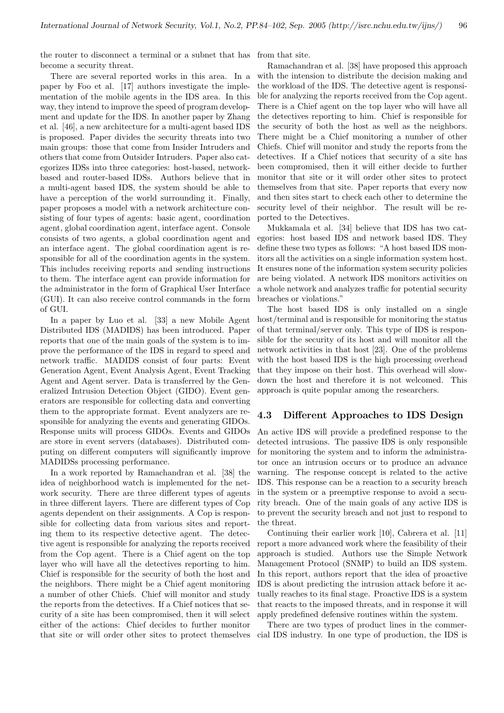the router to disconnect a terminal or a subnet that has from that site. become a security threat.

There are several reported works in this area. In a paper by Foo et al. [17] authors investigate the implementation of the mobile agents in the IDS area. In this way, they intend to improve the speed of program development and update for the IDS. In another paper by Zhang et al. [46], a new architecture for a multi-agent based IDS is proposed. Paper divides the security threats into two main groups: those that come from Insider Intruders and others that come from Outsider Intruders. Paper also categorizes IDSs into three categories: host-based, networkbased and router-based IDSs. Authors believe that in a multi-agent based IDS, the system should be able to have a perception of the world surrounding it. Finally, paper proposes a model with a network architecture consisting of four types of agents: basic agent, coordination agent, global coordination agent, interface agent. Console consists of two agents, a global coordination agent and an interface agent. The global coordination agent is responsible for all of the coordination agents in the system. This includes receiving reports and sending instructions to them. The interface agent can provide information for the administrator in the form of Graphical User Interface (GUI). It can also receive control commands in the form of GUI.

In a paper by Luo et al. [33] a new Mobile Agent Distributed IDS (MADIDS) has been introduced. Paper reports that one of the main goals of the system is to improve the performance of the IDS in regard to speed and network traffic. MADIDS consist of four parts: Event Generation Agent, Event Analysis Agent, Event Tracking Agent and Agent server. Data is transferred by the Generalized Intrusion Detection Object (GIDO). Event generators are responsible for collecting data and converting them to the appropriate format. Event analyzers are responsible for analyzing the events and generating GIDOs. Response units will process GIDOs. Events and GIDOs are store in event servers (databases). Distributed computing on different computers will significantly improve MADIDSs processing performance.

In a work reported by Ramachandran et al. [38] the idea of neighborhood watch is implemented for the network security. There are three different types of agents in three different layers. There are different types of Cop agents dependent on their assignments. A Cop is responsible for collecting data from various sites and reporting them to its respective detective agent. The detective agent is responsible for analyzing the reports received from the Cop agent. There is a Chief agent on the top layer who will have all the detectives reporting to him. Chief is responsible for the security of both the host and the neighbors. There might be a Chief agent monitoring a number of other Chiefs. Chief will monitor and study the reports from the detectives. If a Chief notices that security of a site has been compromised, then it will select either of the actions: Chief decides to further monitor that site or will order other sites to protect themselves

Ramachandran et al. [38] have proposed this approach with the intension to distribute the decision making and the workload of the IDS. The detective agent is responsible for analyzing the reports received from the Cop agent. There is a Chief agent on the top layer who will have all the detectives reporting to him. Chief is responsible for the security of both the host as well as the neighbors. There might be a Chief monitoring a number of other Chiefs. Chief will monitor and study the reports from the detectives. If a Chief notices that security of a site has been compromised, then it will either decide to further monitor that site or it will order other sites to protect themselves from that site. Paper reports that every now and then sites start to check each other to determine the security level of their neighbor. The result will be reported to the Detectives.

Mukkamala et al. [34] believe that IDS has two categories: host based IDS and network based IDS. They define these two types as follows: "A host based IDS monitors all the activities on a single information system host. It ensures none of the information system security policies are being violated. A network IDS monitors activities on a whole network and analyzes traffic for potential security breaches or violations."

The host based IDS is only installed on a single host/terminal and is responsible for monitoring the status of that terminal/server only. This type of IDS is responsible for the security of its host and will monitor all the network activities in that host [23]. One of the problems with the host based IDS is the high processing overhead that they impose on their host. This overhead will slowdown the host and therefore it is not welcomed. This approach is quite popular among the researchers.

#### 4.3 Different Approaches to IDS Design

An active IDS will provide a predefined response to the detected intrusions. The passive IDS is only responsible for monitoring the system and to inform the administrator once an intrusion occurs or to produce an advance warning. The response concept is related to the active IDS. This response can be a reaction to a security breach in the system or a preemptive response to avoid a security breach. One of the main goals of any active IDS is to prevent the security breach and not just to respond to the threat.

Continuing their earlier work [10], Cabrera et al. [11] report a more advanced work where the feasibility of their approach is studied. Authors use the Simple Network Management Protocol (SNMP) to build an IDS system. In this report, authors report that the idea of proactive IDS is about predicting the intrusion attack before it actually reaches to its final stage. Proactive IDS is a system that reacts to the imposed threats, and in response it will apply predefined defensive routines within the system.

There are two types of product lines in the commercial IDS industry. In one type of production, the IDS is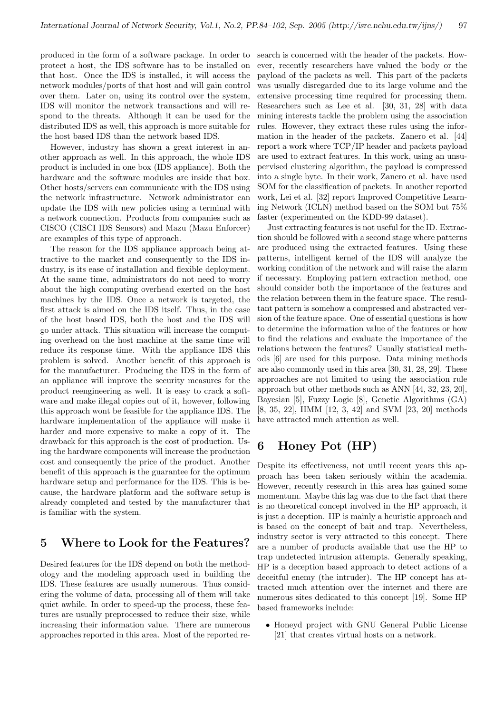protect a host, the IDS software has to be installed on that host. Once the IDS is installed, it will access the network modules/ports of that host and will gain control over them. Later on, using its control over the system, IDS will monitor the network transactions and will respond to the threats. Although it can be used for the distributed IDS as well, this approach is more suitable for the host based IDS than the network based IDS.

However, industry has shown a great interest in another approach as well. In this approach, the whole IDS product is included in one box (IDS appliance). Both the hardware and the software modules are inside that box. Other hosts/servers can communicate with the IDS using the network infrastructure. Network administrator can update the IDS with new policies using a terminal with a network connection. Products from companies such as CISCO (CISCI IDS Sensors) and Mazu (Mazu Enforcer) are examples of this type of approach.

The reason for the IDS appliance approach being attractive to the market and consequently to the IDS industry, is its ease of installation and flexible deployment. At the same time, administrators do not need to worry about the high computing overhead exerted on the host machines by the IDS. Once a network is targeted, the first attack is aimed on the IDS itself. Thus, in the case of the host based IDS, both the host and the IDS will go under attack. This situation will increase the computing overhead on the host machine at the same time will reduce its response time. With the appliance IDS this problem is solved. Another benefit of this approach is for the manufacturer. Producing the IDS in the form of an appliance will improve the security measures for the product reengineering as well. It is easy to crack a software and make illegal copies out of it, however, following this approach wont be feasible for the appliance IDS. The hardware implementation of the appliance will make it harder and more expensive to make a copy of it. The drawback for this approach is the cost of production. Using the hardware components will increase the production cost and consequently the price of the product. Another benefit of this approach is the guarantee for the optimum hardware setup and performance for the IDS. This is because, the hardware platform and the software setup is already completed and tested by the manufacturer that is familiar with the system.

## 5 Where to Look for the Features?

Desired features for the IDS depend on both the methodology and the modeling approach used in building the IDS. These features are usually numerous. Thus considering the volume of data, processing all of them will take quiet awhile. In order to speed-up the process, these features are usually preprocessed to reduce their size, while increasing their information value. There are numerous approaches reported in this area. Most of the reported re-

produced in the form of a software package. In order to search is concerned with the header of the packets. However, recently researchers have valued the body or the payload of the packets as well. This part of the packets was usually disregarded due to its large volume and the extensive processing time required for processing them. Researchers such as Lee et al. [30, 31, 28] with data mining interests tackle the problem using the association rules. However, they extract these rules using the information in the header of the packets. Zanero et al. [44] report a work where TCP/IP header and packets payload are used to extract features. In this work, using an unsupervised clustering algorithm, the payload is compressed into a single byte. In their work, Zanero et al. have used SOM for the classification of packets. In another reported work, Lei et al. [32] report Improved Competitive Learning Network (ICLN) method based on the SOM but 75% faster (experimented on the KDD-99 dataset).

> Just extracting features is not useful for the ID. Extraction should be followed with a second stage where patterns are produced using the extracted features. Using these patterns, intelligent kernel of the IDS will analyze the working condition of the network and will raise the alarm if necessary. Employing pattern extraction method, one should consider both the importance of the features and the relation between them in the feature space. The resultant pattern is somehow a compressed and abstracted version of the feature space. One of essential questions is how to determine the information value of the features or how to find the relations and evaluate the importance of the relations between the features? Usually statistical methods [6] are used for this purpose. Data mining methods are also commonly used in this area [30, 31, 28, 29]. These approaches are not limited to using the association rule approach but other methods such as ANN [44, 32, 23, 20], Bayesian [5], Fuzzy Logic [8], Genetic Algorithms (GA) [8, 35, 22], HMM [12, 3, 42] and SVM [23, 20] methods have attracted much attention as well.

## 6 Honey Pot (HP)

Despite its effectiveness, not until recent years this approach has been taken seriously within the academia. However, recently research in this area has gained some momentum. Maybe this lag was due to the fact that there is no theoretical concept involved in the HP approach, it is just a deception. HP is mainly a heuristic approach and is based on the concept of bait and trap. Nevertheless, industry sector is very attracted to this concept. There are a number of products available that use the HP to trap undetected intrusion attempts. Generally speaking, HP is a deception based approach to detect actions of a deceitful enemy (the intruder). The HP concept has attracted much attention over the internet and there are numerous sites dedicated to this concept [19]. Some HP based frameworks include:

• Honeyd project with GNU General Public License [21] that creates virtual hosts on a network.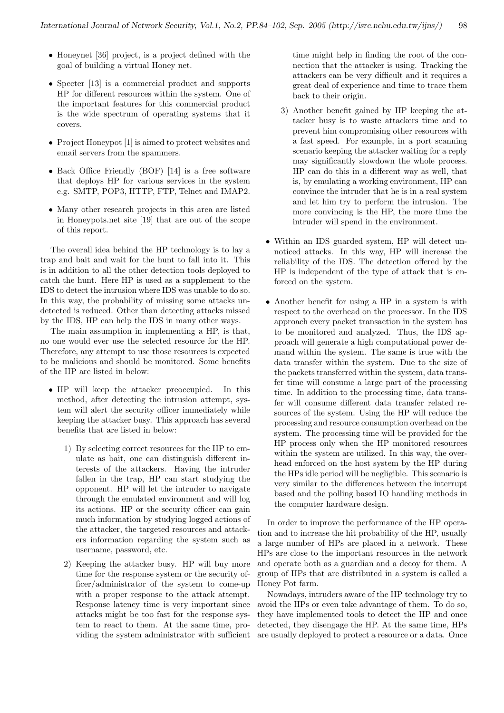- Honeynet [36] project, is a project defined with the goal of building a virtual Honey net.
- Specter [13] is a commercial product and supports HP for different resources within the system. One of the important features for this commercial product is the wide spectrum of operating systems that it covers.
- Project Honeypot [1] is aimed to protect websites and email servers from the spammers.
- Back Office Friendly (BOF) [14] is a free software that deploys HP for various services in the system e.g. SMTP, POP3, HTTP, FTP, Telnet and IMAP2.
- Many other research projects in this area are listed in Honeypots.net site [19] that are out of the scope of this report.

The overall idea behind the HP technology is to lay a trap and bait and wait for the hunt to fall into it. This is in addition to all the other detection tools deployed to catch the hunt. Here HP is used as a supplement to the IDS to detect the intrusion where IDS was unable to do so. In this way, the probability of missing some attacks undetected is reduced. Other than detecting attacks missed by the IDS, HP can help the IDS in many other ways.

The main assumption in implementing a HP, is that, no one would ever use the selected resource for the HP. Therefore, any attempt to use those resources is expected to be malicious and should be monitored. Some benefits of the HP are listed in below:

- HP will keep the attacker preoccupied. In this method, after detecting the intrusion attempt, system will alert the security officer immediately while keeping the attacker busy. This approach has several benefits that are listed in below:
	- 1) By selecting correct resources for the HP to emulate as bait, one can distinguish different interests of the attackers. Having the intruder fallen in the trap, HP can start studying the opponent. HP will let the intruder to navigate through the emulated environment and will log its actions. HP or the security officer can gain much information by studying logged actions of the attacker, the targeted resources and attackers information regarding the system such as username, password, etc.
	- 2) Keeping the attacker busy. HP will buy more time for the response system or the security officer/administrator of the system to come-up with a proper response to the attack attempt. Response latency time is very important since attacks might be too fast for the response system to react to them. At the same time, providing the system administrator with sufficient

time might help in finding the root of the connection that the attacker is using. Tracking the attackers can be very difficult and it requires a great deal of experience and time to trace them back to their origin.

- 3) Another benefit gained by HP keeping the attacker busy is to waste attackers time and to prevent him compromising other resources with a fast speed. For example, in a port scanning scenario keeping the attacker waiting for a reply may significantly slowdown the whole process. HP can do this in a different way as well, that is, by emulating a working environment, HP can convince the intruder that he is in a real system and let him try to perform the intrusion. The more convincing is the HP, the more time the intruder will spend in the environment.
- Within an IDS guarded system, HP will detect unnoticed attacks. In this way, HP will increase the reliability of the IDS. The detection offered by the HP is independent of the type of attack that is enforced on the system.
- Another benefit for using a HP in a system is with respect to the overhead on the processor. In the IDS approach every packet transaction in the system has to be monitored and analyzed. Thus, the IDS approach will generate a high computational power demand within the system. The same is true with the data transfer within the system. Due to the size of the packets transferred within the system, data transfer time will consume a large part of the processing time. In addition to the processing time, data transfer will consume different data transfer related resources of the system. Using the HP will reduce the processing and resource consumption overhead on the system. The processing time will be provided for the HP process only when the HP monitored resources within the system are utilized. In this way, the overhead enforced on the host system by the HP during the HPs idle period will be negligible. This scenario is very similar to the differences between the interrupt based and the polling based IO handling methods in the computer hardware design.

In order to improve the performance of the HP operation and to increase the hit probability of the HP, usually a large number of HPs are placed in a network. These HPs are close to the important resources in the network and operate both as a guardian and a decoy for them. A group of HPs that are distributed in a system is called a Honey Pot farm.

Nowadays, intruders aware of the HP technology try to avoid the HPs or even take advantage of them. To do so, they have implemented tools to detect the HP and once detected, they disengage the HP. At the same time, HPs are usually deployed to protect a resource or a data. Once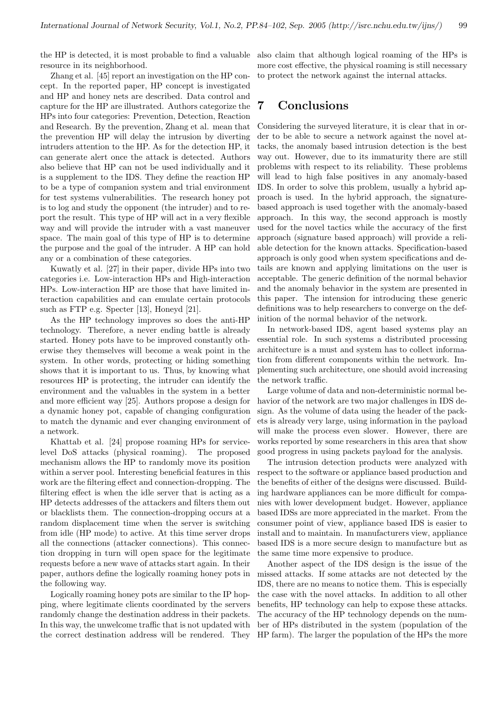resource in its neighborhood.

Zhang et al. [45] report an investigation on the HP concept. In the reported paper, HP concept is investigated and HP and honey nets are described. Data control and capture for the HP are illustrated. Authors categorize the HPs into four categories: Prevention, Detection, Reaction and Research. By the prevention, Zhang et al. mean that the prevention HP will delay the intrusion by diverting intruders attention to the HP. As for the detection HP, it can generate alert once the attack is detected. Authors also believe that HP can not be used individually and it is a supplement to the IDS. They define the reaction HP to be a type of companion system and trial environment for test systems vulnerabilities. The research honey pot is to log and study the opponent (the intruder) and to report the result. This type of HP will act in a very flexible way and will provide the intruder with a vast maneuver space. The main goal of this type of HP is to determine the purpose and the goal of the intruder. A HP can hold any or a combination of these categories.

Kuwatly et al. [27] in their paper, divide HPs into two categories i.e. Low-interaction HPs and High-interaction HPs. Low-interaction HP are those that have limited interaction capabilities and can emulate certain protocols such as FTP e.g. Specter [13], Honeyd [21].

As the HP technology improves so does the anti-HP technology. Therefore, a never ending battle is already started. Honey pots have to be improved constantly otherwise they themselves will become a weak point in the system. In other words, protecting or hiding something shows that it is important to us. Thus, by knowing what resources HP is protecting, the intruder can identify the environment and the valuables in the system in a better and more efficient way [25]. Authors propose a design for a dynamic honey pot, capable of changing configuration to match the dynamic and ever changing environment of a network.

Khattab et al. [24] propose roaming HPs for servicelevel DoS attacks (physical roaming). The proposed mechanism allows the HP to randomly move its position within a server pool. Interesting beneficial features in this work are the filtering effect and connection-dropping. The filtering effect is when the idle server that is acting as a HP detects addresses of the attackers and filters them out or blacklists them. The connection-dropping occurs at a random displacement time when the server is switching from idle (HP mode) to active. At this time server drops all the connections (attacker connections). This connection dropping in turn will open space for the legitimate requests before a new wave of attacks start again. In their paper, authors define the logically roaming honey pots in the following way.

Logically roaming honey pots are similar to the IP hopping, where legitimate clients coordinated by the servers randomly change the destination address in their packets. In this way, the unwelcome traffic that is not updated with the correct destination address will be rendered. They HP farm). The larger the population of the HPs the more

the HP is detected, it is most probable to find a valuable also claim that although logical roaming of the HPs is more cost effective, the physical roaming is still necessary to protect the network against the internal attacks.

## 7 Conclusions

Considering the surveyed literature, it is clear that in order to be able to secure a network against the novel attacks, the anomaly based intrusion detection is the best way out. However, due to its immaturity there are still problems with respect to its reliability. These problems will lead to high false positives in any anomaly-based IDS. In order to solve this problem, usually a hybrid approach is used. In the hybrid approach, the signaturebased approach is used together with the anomaly-based approach. In this way, the second approach is mostly used for the novel tactics while the accuracy of the first approach (signature based approach) will provide a reliable detection for the known attacks. Specification-based approach is only good when system specifications and details are known and applying limitations on the user is acceptable. The generic definition of the normal behavior and the anomaly behavior in the system are presented in this paper. The intension for introducing these generic definitions was to help researchers to converge on the definition of the normal behavior of the network.

In network-based IDS, agent based systems play an essential role. In such systems a distributed processing architecture is a must and system has to collect information from different components within the network. Implementing such architecture, one should avoid increasing the network traffic.

Large volume of data and non-deterministic normal behavior of the network are two major challenges in IDS design. As the volume of data using the header of the packets is already very large, using information in the payload will make the process even slower. However, there are works reported by some researchers in this area that show good progress in using packets payload for the analysis.

The intrusion detection products were analyzed with respect to the software or appliance based production and the benefits of either of the designs were discussed. Building hardware appliances can be more difficult for companies with lower development budget. However, appliance based IDSs are more appreciated in the market. From the consumer point of view, appliance based IDS is easier to install and to maintain. In manufacturers view, appliance based IDS is a more secure design to manufacture but as the same time more expensive to produce.

Another aspect of the IDS design is the issue of the missed attacks. If some attacks are not detected by the IDS, there are no means to notice them. This is especially the case with the novel attacks. In addition to all other benefits, HP technology can help to expose these attacks. The accuracy of the HP technology depends on the number of HPs distributed in the system (population of the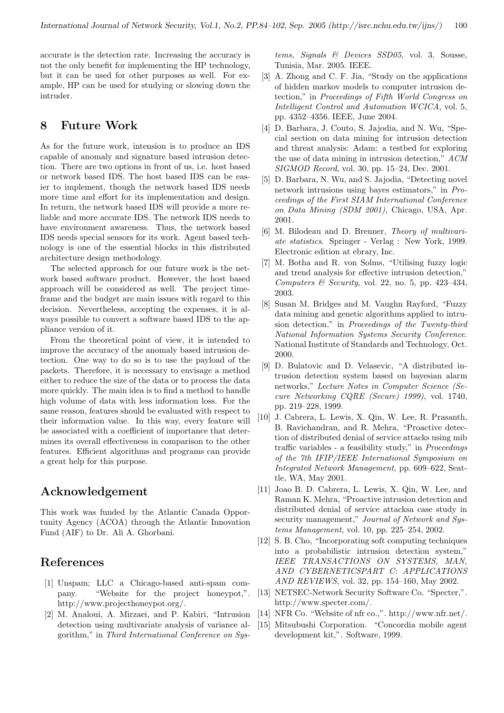accurate is the detection rate. Increasing the accuracy is not the only benefit for implementing the HP technology, but it can be used for other purposes as well. For example, HP can be used for studying or slowing down the intruder.

## 8 Future Work

As for the future work, intension is to produce an IDS capable of anomaly and signature based intrusion detection. There are two options in front of us, i.e. host based or network based IDS. The host based IDS can be easier to implement, though the network based IDS needs more time and effort for its implementation and design. In return, the network based IDS will provide a more reliable and more accurate IDS. The network IDS needs to have environment awareness. Thus, the network based IDS needs special sensors for its work. Agent based technology is one of the essential blocks in this distributed architecture design methodology.

The selected approach for our future work is the network based software product. However, the host based approach will be considered as well. The project timeframe and the budget are main issues with regard to this decision. Nevertheless, accepting the expenses, it is always possible to convert a software based IDS to the appliance version of it.

From the theoretical point of view, it is intended to improve the accuracy of the anomaly based intrusion detection. One way to do so is to use the payload of the packets. Therefore, it is necessary to envisage a method either to reduce the size of the data or to process the data more quickly. The main idea is to find a method to handle high volume of data with less information loss. For the same reason, features should be evaluated with respect to their information value. In this way, every feature will be associated with a coefficient of importance that determines its overall effectiveness in comparison to the other features. Efficient algorithms and programs can provide a great help for this purpose.

## Acknowledgement

This work was funded by the Atlantic Canada Opportunity Agency (ACOA) through the Atlantic Innovation Fund (AIF) to Dr. Ali A. Ghorbani.

## References

- [1] Unspam; LLC a Chicago-based anti-spam company. "Website for the project honeypot,". http://www.projecthoneypot.org/.
- [2] M. Analoui, A. Mirzaei, and P. Kabiri, "Intrusion detection using multivariate analysis of variance algorithm," in Third International Conference on Sys-

tems, Signals & Devices SSD05, vol. 3, Sousse, Tunisia, Mar. 2005. IEEE.

- [3] A. Zhong and C. F. Jia, "Study on the applications of hidden markov models to computer intrusion detection," in Proceedings of Fifth World Congress on Intelligent Control and Automation WCICA, vol. 5, pp. 4352–4356. IEEE, June 2004.
- [4] D. Barbara, J. Couto, S. Jajodia, and N. Wu, "Special section on data mining for intrusion detection and threat analysis: Adam: a testbed for exploring the use of data mining in intrusion detection," ACM SIGMOD Record, vol. 30, pp. 15–24, Dec. 2001.
- [5] D. Barbara, N. Wu, and S. Jajodia, "Detecting novel network intrusions using bayes estimators," in Proceedings of the First SIAM International Conference on Data Mining (SDM 2001), Chicago, USA, Apr. 2001.
- [6] M. Bilodeau and D. Brenner, Theory of multivariate statistics. Springer - Verlag : New York, 1999. Electronic edition at ebrary, Inc.
- [7] M. Botha and R. von Solms, "Utilising fuzzy logic and trend analysis for effective intrusion detection," Computers & Security, vol. 22, no. 5, pp. 423-434, 2003.
- [8] Susan M. Bridges and M. Vaughn Rayford, "Fuzzy data mining and genetic algorithms applied to intrusion detection," in Proceedings of the Twenty-third National Information Systems Security Conference. National Institute of Standards and Technology, Oct. 2000.
- [9] D. Bulatovic and D. Velasevic, "A distributed intrusion detection system based on bayesian alarm networks," Lecture Notes in Computer Science (Secure Networking CQRE (Secure) 1999), vol. 1740, pp. 219–228, 1999.
- [10] J. Cabrera, L. Lewis, X. Qin, W. Lee, R. Prasanth, B. Ravichandran, and R. Mehra, "Proactive detection of distributed denial of service attacks using mib traffic variables - a feasibility study," in Proceedings of the 7th IFIP/IEEE International Symposium on Integrated Network Management, pp. 609–622, Seattle, WA, May 2001.
- [11] Joao B. D. Cabrera, L. Lewis, X. Qin, W. Lee, and Raman K. Mehra, "Proactive intrusion detection and distributed denial of service attacksa case study in security management," Journal of Network and Systems Management, vol. 10, pp. 225–254, 2002.
- [12] S. B. Cho, "Incorporating soft computing techniques into a probabilistic intrusion detection system," IEEE TRANSACTIONS ON SYSTEMS, MAN, AND CYBERNETICSPART C: APPLICATIONS AND REVIEWS, vol. 32, pp. 154–160, May 2002.
- [13] NETSEC-Network Security Software Co. "Specter,". http://www.specter.com/.
- [14] NFR Co. "Website of nfr co.,". http://www.nfr.net/.
- [15] Mitsubushi Corporation. "Concordia mobile agent development kit,". Software, 1999.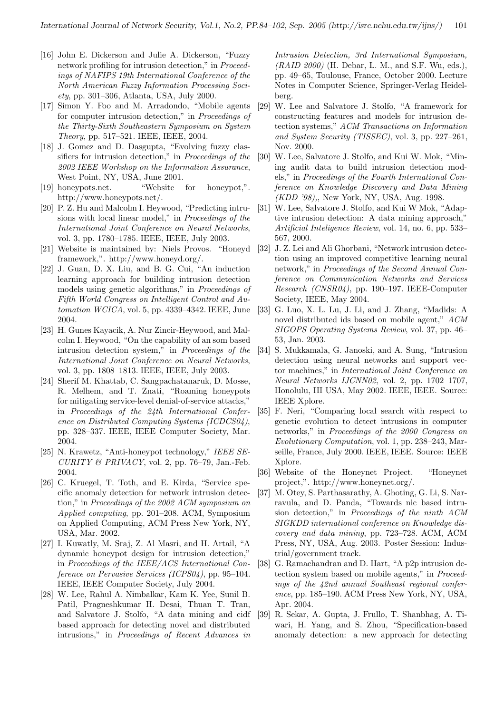- [16] John E. Dickerson and Julie A. Dickerson, "Fuzzy network profiling for intrusion detection," in Proceedings of NAFIPS 19th International Conference of the North American Fuzzy Information Processing Society, pp. 301–306, Atlanta, USA, July 2000.
- [17] Simon Y. Foo and M. Arradondo, "Mobile agents for computer intrusion detection," in Proceedings of the Thirty-Sixth Southeastern Symposium on System Theory, pp. 517–521. IEEE, IEEE, 2004.
- [18] J. Gomez and D. Dasgupta, "Evolving fuzzy classifiers for intrusion detection," in Proceedings of the 2002 IEEE Workshop on the Information Assurance, West Point, NY, USA, June 2001.
- [19] honeypots.net. "Website for honeypot,". http://www.honeypots.net/.
- [20] P. Z. Hu and Malcolm I. Heywood, "Predicting intrusions with local linear model," in Proceedings of the International Joint Conference on Neural Networks, vol. 3, pp. 1780–1785. IEEE, IEEE, July 2003.
- [21] Website is maintained by: Niels Provos. "Honeyd framework,". http://www.honeyd.org/.
- [22] J. Guan, D. X. Liu, and B. G. Cui, "An induction learning approach for building intrusion detection models using genetic algorithms," in Proceedings of Fifth World Congress on Intelligent Control and Automation WCICA, vol. 5, pp. 4339–4342. IEEE, June 2004.
- [23] H. Gunes Kayacik, A. Nur Zincir-Heywood, and Malcolm I. Heywood, "On the capability of an som based intrusion detection system," in Proceedings of the International Joint Conference on Neural Networks, vol. 3, pp. 1808–1813. IEEE, IEEE, July 2003.
- [24] Sherif M. Khattab, C. Sangpachatanaruk, D. Mosse, R. Melhem, and T. Znati, "Roaming honeypots for mitigating service-level denial-of-service attacks," in Proceedings of the 24th International Conference on Distributed Computing Systems (ICDCS04), pp. 328–337. IEEE, IEEE Computer Society, Mar. 2004.
- [25] N. Krawetz, "Anti-honeypot technology," IEEE SE- $CURITY \& PRIVACY$ , vol. 2, pp. 76-79, Jan.-Feb. 2004.
- [26] C. Kruegel, T. Toth, and E. Kirda, "Service specific anomaly detection for network intrusion detection," in Proceedings of the 2002 ACM symposium on Applied computing, pp. 201–208. ACM, Symposium on Applied Computing, ACM Press New York, NY, USA, Mar. 2002.
- [27] I. Kuwatly, M. Sraj, Z. Al Masri, and H. Artail, "A dynamic honeypot design for intrusion detection," in Proceedings of the IEEE/ACS International Conference on Pervasive Services (ICPS04), pp. 95–104. IEEE, IEEE Computer Society, July 2004.
- [28] W. Lee, Rahul A. Nimbalkar, Kam K. Yee, Sunil B. Patil, Pragneshkumar H. Desai, Thuan T. Tran, and Salvatore J. Stolfo, "A data mining and cidf based approach for detecting novel and distributed intrusions," in Proceedings of Recent Advances in

Intrusion Detection, 3rd International Symposium,  $(RAID 2000)$  (H. Debar, L. M., and S.F. Wu, eds.), pp. 49–65, Toulouse, France, October 2000. Lecture Notes in Computer Science, Springer-Verlag Heidelberg.

- [29] W. Lee and Salvatore J. Stolfo, "A framework for constructing features and models for intrusion detection systems," ACM Transactions on Information and System Security (TISSEC), vol. 3, pp. 227–261, Nov. 2000.
- [30] W. Lee, Salvatore J. Stolfo, and Kui W. Mok, "Mining audit data to build intrusion detection models," in Proceedings of the Fourth International Conference on Knowledge Discovery and Data Mining (KDD '98),, New York, NY, USA, Aug. 1998.
- [31] W. Lee, Salvatore J. Stolfo, and Kui W Mok, "Adaptive intrusion detection: A data mining approach," Artificial Inteligence Review, vol. 14, no. 6, pp. 533– 567, 2000.
- [32] J. Z. Lei and Ali Ghorbani, "Network intrusion detection using an improved competitive learning neural network," in Proceedings of the Second Annual Conference on Communication Networks and Services Research (CNSR04), pp. 190–197. IEEE-Computer Society, IEEE, May 2004.
- [33] G. Luo, X. L. Lu, J. Li, and J. Zhang, "Madids: A novel distributed ids based on mobile agent,"  $ACM$ SIGOPS Operating Systems Review, vol. 37, pp. 46– 53, Jan. 2003.
- [34] S. Mukkamala, G. Janoski, and A. Sung, "Intrusion detection using neural networks and support vector machines," in International Joint Conference on Neural Networks IJCNN02, vol. 2, pp. 1702–1707, Honolulu, HI USA, May 2002. IEEE, IEEE. Source: IEEE Xplore.
- [35] F. Neri, "Comparing local search with respect to genetic evolution to detect intrusions in computer networks," in Proceedings of the 2000 Congress on Evolutionary Computation, vol. 1, pp. 238–243, Marseille, France, July 2000. IEEE, IEEE. Source: IEEE Xplore.
- [36] Website of the Honeynet Project. "Honeynet project,". http://www.honeynet.org/.
- [37] M. Otey, S. Parthasarathy, A. Ghoting, G. Li, S. Narravula, and D. Panda, "Towards nic based intrusion detection," in Proceedings of the ninth ACM SIGKDD international conference on Knowledge discovery and data mining, pp. 723–728. ACM, ACM Press, NY, USA, Aug. 2003. Poster Session: Industrial/government track.
- [38] G. Ramachandran and D. Hart, "A p2p intrusion detection system based on mobile agents," in Proceedings of the 42nd annual Southeast regional conference, pp. 185–190. ACM Press New York, NY, USA, Apr. 2004.
- [39] R. Sekar, A. Gupta, J. Frullo, T. Shanbhag, A. Tiwari, H. Yang, and S. Zhou, "Specification-based anomaly detection: a new approach for detecting